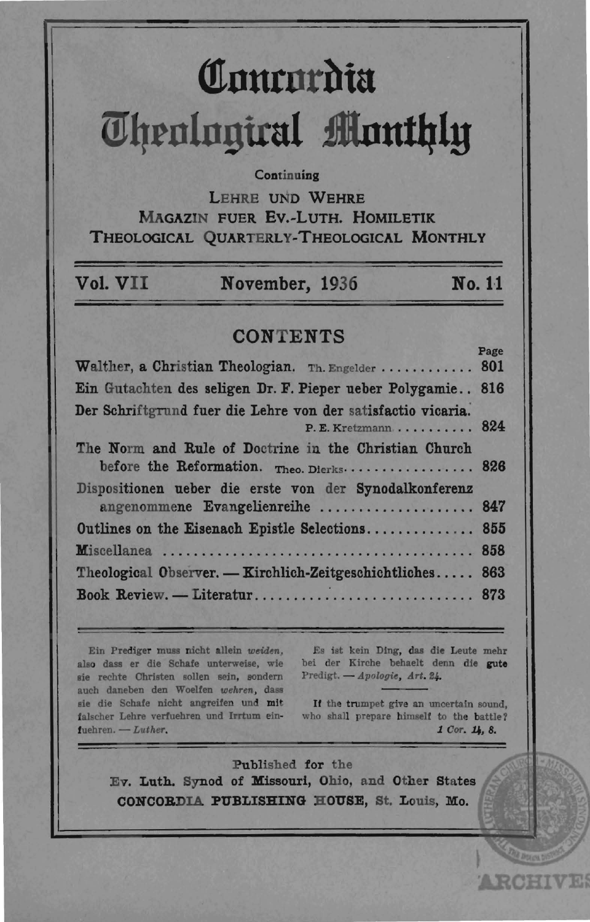# Comrordia **Theological Monthly**

### Continuing

LEHRE UND WEHRE MAGAZIN FUER EV.-LUTH, HOMILETIK THEOLOGICAL OUARTERLY-THEOLOGICAL MONTHLY

| Vol. VII | November, 1936 | No. 11 |
|----------|----------------|--------|
|          |                |        |

## **CONTENTS**

| Walther, a Christian Theologian. Th. Engelder  801           |  |
|--------------------------------------------------------------|--|
| Ein Gutachten des seligen Dr. F. Pieper ueber Polygamie 816  |  |
| Der Schriftgrund fuer die Lehre von der satisfactio vicaria. |  |
| $P.E. Kretzmann \ldots \ldots \ldots 824$                    |  |
| The Norm and Rule of Doctrine in the Christian Church        |  |
| before the Reformation. Theo. Dierks 826                     |  |
| Dispositionen ueber die erste von der Synodalkonferenz       |  |
| angenommene Evangelienreihe  847                             |  |
| Outlines on the Eisenach Epistle Selections 855              |  |
|                                                              |  |
| Theological Observer. — Kirchlich-Zeitgeschichtliches 863    |  |
| Book Review. - Literatur 873                                 |  |

Ein Prediger muss nicht allein weiden, also dass er die Schafe unterweise, wie sie rechte Christen sollen sein, sondern auch daneben den Woelfen wehren, dass sie die Schafe nicht angreifen und mit falscher Lehre verfuehren und Irrtum ein $f$ uehren. - Luther.

Es ist kein Ding, das die Leute mehr bei der Kirche behaelt denn die gute Predigt. - Apologie, Art. 24.

If the trumpet give an uncertain sound, who shall prepare himself to the battle? 1 Cor. 14. 8.

**ARCHIVES** 

Published for the Ev. Luth. Synod of Missouri, Ohio, and Other States CONCORDIA PUBLISHING HOUSE, St. Louis, Mo.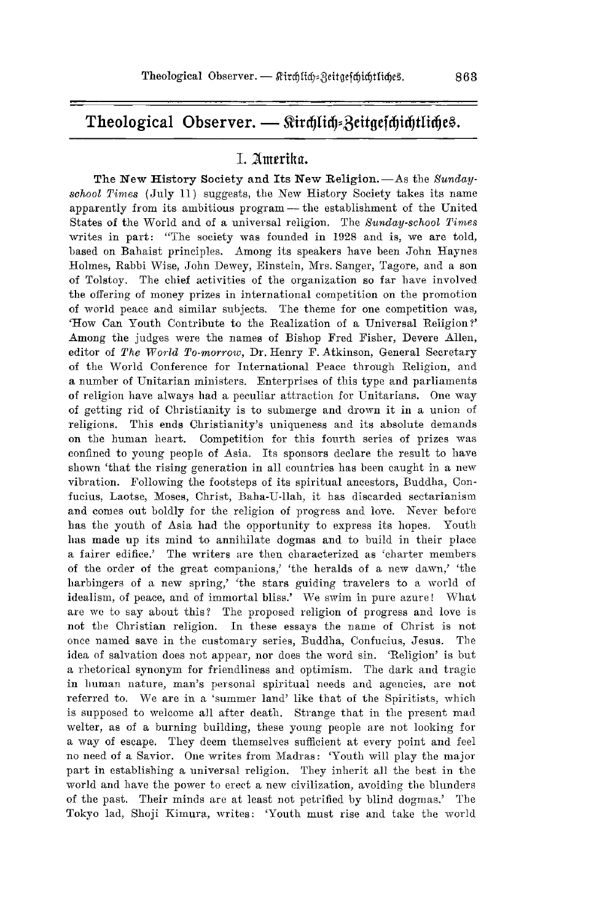# Theological Observer. - Sürchlich=Beitgefchichtliches.

## I. Amerika.

The New History Society and Its New Religion. - As the *Sundaysohool Times* ( July 11) suggests, the New History Society takes its name apparently from its ambitious program - the establishment of the United States of the World and of a universal religion. The *Sunday-school Times* writes in part: "The society was founded in 1928 and is, we are told, based on Bahaist principles. Among its speakers have been John Haynes Holmes, Rabbi Wise, John Dewey, Einstein, Mrs. Sanger, Tagore, and a son of Tolstoy. The chief activities of the organization so far have involved the offering of money prizes in international competition on the promotion of world peace and similar subjects. The theme for one competition was, 'How Can youth Contribute to the Realization of a Universal Religion?' Among the judges were the names of Bishop Fred Fisher, Devere Allen, editor of *The World To-morrow*, Dr. Henry F. Atkinson, General Secretary of the World Conference for International Peace through Religion, and a number of Unitarian ministers. Enterprises of this type and parliaments of religion have always had a peculiar attraction for Unitarians. One way of getting rid of Christianity is to submerge and drown it in a union of religions. This ends Christianity's uniqueness and its absolute demands on the human heart. Competition for this fourth series of prizes was confined to young people of Asia. Its sponsors declare the result to have shown 'that the rising generation in all countries has been caught in a new vibration. Following the footsteps of its spiritual ancestors, Buddha, Confucius, Laotse, Moses, Christ, Baha-U-llah, it has discarded sectarianism and comes out boldly for the religion of progress and love. Never before has the youth of Asia had the opportunity to express its hopes. Youth has made up its mind to annihilate dogmas and to build in their place a fairer edifice.' The writers are then characterized as 'charter members of the order of the great companions,' 'the heralds of a new dawn,' 'the harbingers of a new spring,' 'the stars guiding travelers to a world of idealism, of peace, and of immortal bliss.' We swim in pure azure! What are we to say about this? The proposed religion of progress and love is not the Christian religion. In these essays the name of Christ is not once named save in the customary series, Buddha, Confucius, Jesus. The idea of salvation does not appear, nor does the word sin. 'Religion' is but a rhetorical synonym for friendliness and optimism. The dark and tragic in human nature, man's personal spiritual needs and agencies, are not referred to. We are in a 'summer land' like that of the Spiritists, which is supposed to welcome all after death. Strange that in the present mad welter, as of a burning building, these young people are not looking for a way of escape. They deem themselves sufficient at every point and feel no need of a Savior. One writes from Madras: 'Youth will play the major part in establishing a universal religion. They inherit all the best in the world and have the power to erect a new civilization, avoiding the blunders of the past. Their minds are at least not petrified by blind dogmas.' The Tokyo lad, Shoji Kimura, writes: 'Youth must rise and take the worlel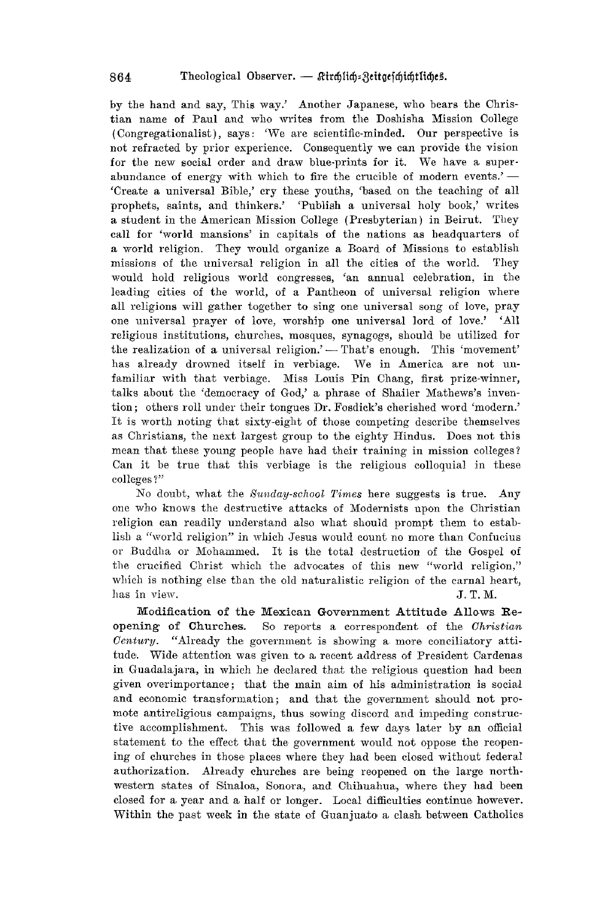by the hand and say, This way.' Another Japanese, who bears the Christian name of Paul and who writes from the Doshisha Mission College (Congregationalist), says: 'We are scientific-minded. Our perspective is not refracted by prior experience. Consequently we can provide the vision for the new social order and draw blue-prints for it. We have a superabundance of energy with which to fire the crucible of modern events.' $-$ 'Create a universal Bible,' cry these youths, 'based on the teaching of all prophets, saints, and thinkers.' 'Publish a universal holy book,' writes a student in the American Mission College (Presbyterian) in Beirut. They call for 'world mansions' in capitals of the nations as headquarters of a world religion. They would organize a Board of Missions to establish missions of the universal religion in all the cities of the world. They would hold religious world congresses, 'an annual celebration, in the leading cities of the world, of a Pantheon of universal religion where all religions will gather together to sing one universal song of love, pray one universal prayer of love, worship one universal lord of love.' 'All religious institutions, churches, mosques, synagogs, should be utilized for the realization of a universal religion.' - That's enough. This 'movement' has already drowned itself in verbiage. We in America are not unfamiliar with that verbiage. Miss Louis Pin Chang, first prize-winner, talks about the 'democracy of God,' a phrase of Shailer Mathews's invention; others roll under their tongues Dr. Fosdick's cherished word 'modern.' It is worth noting that sixty-eight of those competing describe themselves as Christians, the next largest group to the eighty Hindus. Does not this mean that these young people have had their training in mission colleges? Can it be true that this verbiage is the religious colloquial in these colleges ?"

No doubt, what the *Sunday-school Times* here suggests is true. Any one who knows the destrnctive attacks of Modernists upon the Christian religion can readily understand also what should prompt them to establish a "world religion" in which Jesus would count no more than Confucius or Buddha or Mohammed. It is the total destruction of the Gospel of the crucified Christ which the advocates of this new "world religion," which is nothing else than the old naturalistic religion of the carnal heart, has in view.  $J. T. M.$ 

Modification of the Mexican Government Attitude Allows Reopening of Churches. So reports a correspondent of the Christian *Century.* "Already the government is showing a more conciliatory attitude. Wide attention was given to a recent address of President Cardenas in Guadalajara, in which he declared that the religious question had been given overimportance; that the main aim of his administration is social and economic transformation; and that the government should not promote antireligious campaigns, thus sowing discord and impeding constructive accomplishment. This was followed a few days later by an official statement to the effect that the government would not oppose the reopening of churches in those places where they had been closed without federal authorization. Already churches are being reopened on the large northwestern states of Sinaloa, Sonora, and Chihuahua, where they had been closed for a. year and a, half OT longer. Local difficulties continue however. Within the past week in the state of Guanjuato a clash between Catholics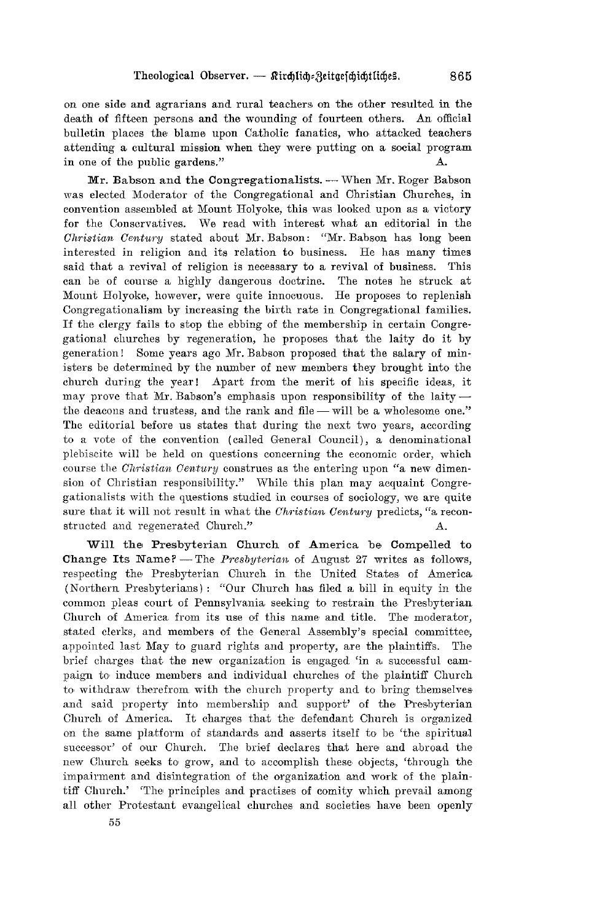on one side and agrarians and rural teachers on the other resulted in the death of fifteen persons and the wounding of fourteen others. An official bulletin places the blame upon Catholic fanatics, who attacked teachers attending a cultural mission when they were putting on a social program in one of the public gardens." A.

Mr. Babson and the Congregationalists. - When Mr. Roger Babson was elected Moderator of the Congregational and Christian Churches, in convention assembled at Mount Holyoke, this was looked upon as a victory for the Conservatives. We read with interest what an editorial in the *Ohristian Oentury* stated about Mr. Babson: "Mr. Babson has long been interested in religion and its relation to business. He has many times said that a revival of religion is necessary to a revival of business. This can be of course a highly dangerous doctrine. The notes he struck at Mount Holyoke, however, were quite innocuous. He proposes to replenish Congregationalism by increasing the birth rate in Congregational families. If the clergy fails to stop the ebbing of the membership in certain Congregational churches by regeneration, he proposes that the laity do it by generation! Some years ago Mr. Babson proposed that the salary of ministers be determined by the number of new members they brought into the church during the year! Apart from the merit of his specific ideas, it may prove that Mr. Babson's emphasis upon responsibility of the laity  $$ the deacons and trustess, and the rank and file - will be a wholesome one." The editorial before us states that during the next two years, according to a vote of the convention (called General Council), a denominational plebiscite will be held on questions concerning the economic order, which course the *Ohristian Oentury* construes as the entering upon "a new dimension of Christian responsibility." While this plan may acquaint Congregationalists with the questions studied in courses of sociology, we are quite sure that it will not result in what the *Christian Century* predicts, "a reconstructed and regenerated Church."

Will the Presbyterian Church of America be Compelled to Change Its Name? - The *Presbyterian* of August 27 writes as follows, respecting the Presbyterian Church in the United States of America (Northern Presbyterians): "Our Church has filed a bill in equity in the common pleas court of Pennsylvania seeking to restrain the Presbyterian. Church of America from its use of this name and title. The moderator, stated clerks, and members of the General Assembly's special committee, appointed last May to guard rights and property, are the plaintiffs. The brief charges that the new organization is engaged 'in a successful campaign to induce members and individual churches of the plaintiff Church to withdraw therefrom with the church property and to bring themselves and said property into membership and support' of the Presbyterian Church of America. It charges that the defendant Church is organized on the same platform of standards and asserts itself to be 'the spiritual successor' of our Church. The brief declares that here and abroad the new Church seeks to grow, and to accomplish these objects, 'through the impairment and disintegration of the organization and work of the plaintiff Church.' 'The principles and practises of comity which prevail among all other Protestant evangelical churches and societies have been openly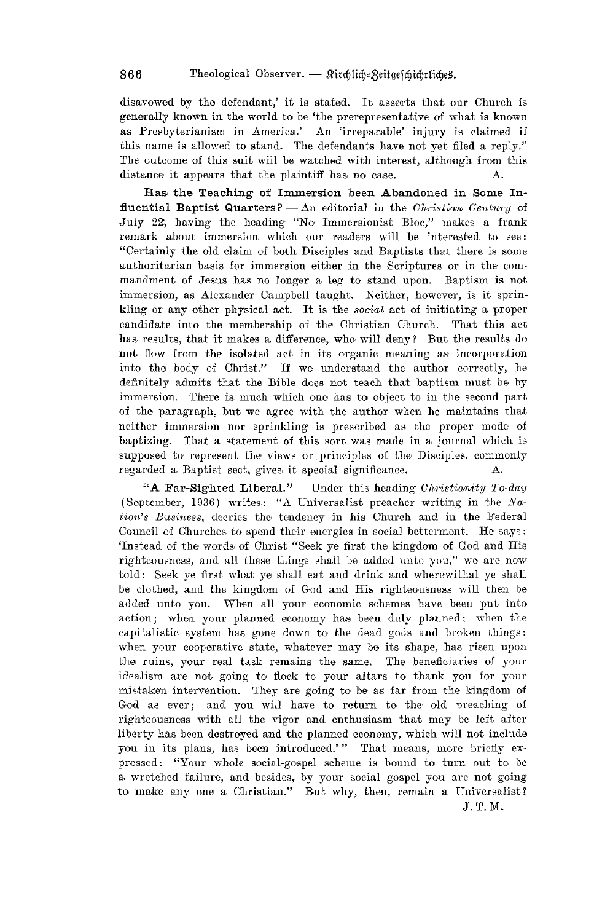disavowed by the defendant,' it is stated. It asserts that our Church is generally known in the world to be 'the prerepresentative of what is known as Presbyterianism in America.' An 'irreparable' injury is claimed if this name is allowed to stand. The defendants have not yet filed a reply." The outcome of this suit will be watched with interest, although from this distance it appears that the plaintiff has no case. A.

Has the Teaching of Immersion been Abandoned in Some Influential Baptist Quarters? - An editorial in the *Christian Century* of July 22, having the heading "No Immersionist Bloc," makes a frank remark about immersion which our readers will be interested to see: "Certainly the old claim of both Disciples and Baptists that there is some authoritarian basis for immersion either in the Scriptures or in the commandment of Jesus has no longer a leg to stand upon. Baptism is not immersion, as Alexander Campbell tanght. Neither, however, is it sprinkling or any other physical act. It is the social act of initiating a proper candidate into the membership of the Christian Church. That this act has results, that it makes a difference, who will deny? But the results do not flow from the isolated act in its organic meaning as incorporation into the body of Christ." If we understand the author correctly, he definitely admits that the Bible does not teach that baptism must be by immersion. There is much which one has to object to in the second part of the paragraph, but we agree with the author when he maintains that neither immersion nor sprinkling is prescribed as the proper mode of baptizing. That a statement of this sort was made in a journal which is supposed to represent the views or principles of the Disciples, commonly regarded a Baptist sect, gives it special significance. A.

"A Far-Sighted Liberal." - Under this heading *Christianity To-day* (September, 1936) writes: "A Universalist preacher writing in the  $Na$ *tion's Business, decries the tendency in his Church and in the Federal* Council of Churches to spend their energies in social betterment. He says: 'Instead of the words of Christ "Seek ye first the kingdom of God and His righteousness, and all these things shall be added unto you," we are now told: Seek ye first what ye shall eat and drink and wherewithal ye shall be clothed, and the kingdom of God and His righteousness will then be added unto you. When all your economic schemes have been put into action; when your planned economy has been duly planned; when the capitalistic system has gone down to the dead gods and broken things; when your cooperative state, whatever may be its shape, has risen upon the ruins, your real task remains the same. The beneficiaries of your idealism are not going to flock to your altars to thank you for your mistaken intervention. They are going to be as far from the kingdom of God as ever; and you will have to return to the old preaching of righteousness with all the vigor and enthusiasm that may be left after liberty has been destroyed and the planned economy, which will not include you in its plans, has been introduced.'" That means, more briefly expressed: "Your whole social-gospel scheme is bound to turn out to be a wretched failure, and besides, by your social gospel you are not going to make any one a Christian." But why, then, remain a Universalist? J.T.M.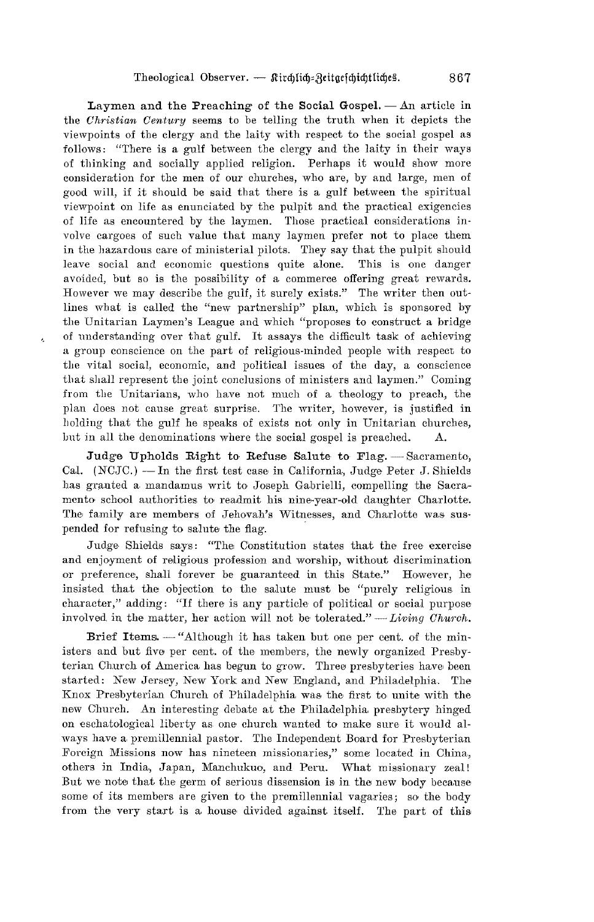Laymen and the Preaching of the Social Gospel.  $-$  An article in the *Ohristian Oentury* seems to be telling the truth when it depicts the viewpoints of the clergy and the laity with respect to the social gospel as follows: "There is a gulf between the clergy and the laity in their ways of thinking and socially applied religion. Perhaps it would show more consideration for the men of our churches, who are, by and large, men of good will, if it should be said that there is a gulf between the spiritual viewpoint on life as enunciated by the pulpit and the practical exigencies of life as encountered by the laymen. Those practical considerations involve cargoes of such value that many laymen prefer not to place them in the hazardous care of ministerial pilots. They say that the pulpit should leave social and economic questions quite alone. This is one danger avoided, but so is the possibility of a commerce offering great rewards. However we may describe the gulf, it surely exists." The writer then outlines what is called the "new partnership" plan, which is sponsored by the Unitarian Laymen's League and which "proposes to construct a bridge of understanding over that gulf. It assays the difficult task of achieving a group conscience on the part of religious-minded people with respect to the vital social, economic, and political issues of the day, a conscience that shall represent the joint conclusions of ministers and laymen." Coming from the Unitarians, who have not much of a theology to preach, the plan does not cause great surprise. The writer, however, is justified in holding that the gulf he speaks of exists not only in Unitarian churches, but in all the denominations where the social gospel is preached. A.

Ą,

Judge Upholds Right to Refuse Salute to Flag. - Sacramento, Cal. (NCJC.) -- In the first test case in California, Judge Peter J. Shields has granted a mandamus writ to Joseph Gabrielli, compelling the Sacramento school authorities to readmit his nine-year-old daughter Charlotte. The family are members of Jehovah's Witnesses, and Charlotte was suspended for refusing to salute the flag.

Judge Shields says: "The Constitution states that the free exercise and enjoyment of religious profession and worship, without discrimination or preference, shall forever be guaranteed in this State." However, he insisted that the objection to the salute must be "purely religious in character," adding: "If there is any particle of political or social purpose involved in the matter, her action will not be tolerated." - *Living Church*.

Brief Items. - "Although it has taken but one per cent. of the ministers and but five per cent. of the members, the newly organized Presbyterian Church of America, has begun to grow. Three presbyteries have been started: New Jersey, New York and New England, and Philadelphia. The Knox Presbyterian Church of Philadelphia was the first to unite with the new Church. An interesting debate at the Philadelphia presbytery hinged on eschatological liberty as one church wanted to make sure it would always have a premillennial pastor. The Independent Board for Presbyterian Foreign Missions now has nineteen missionaries," some located in China, others in India, Japan, Manchukuo, and Peru. What missionary zeal! But we note that the germ of serious dissension is in the new body because some of its members are given to the premillennial vagaries; so the body from the very start is a house divided against itself. The part of this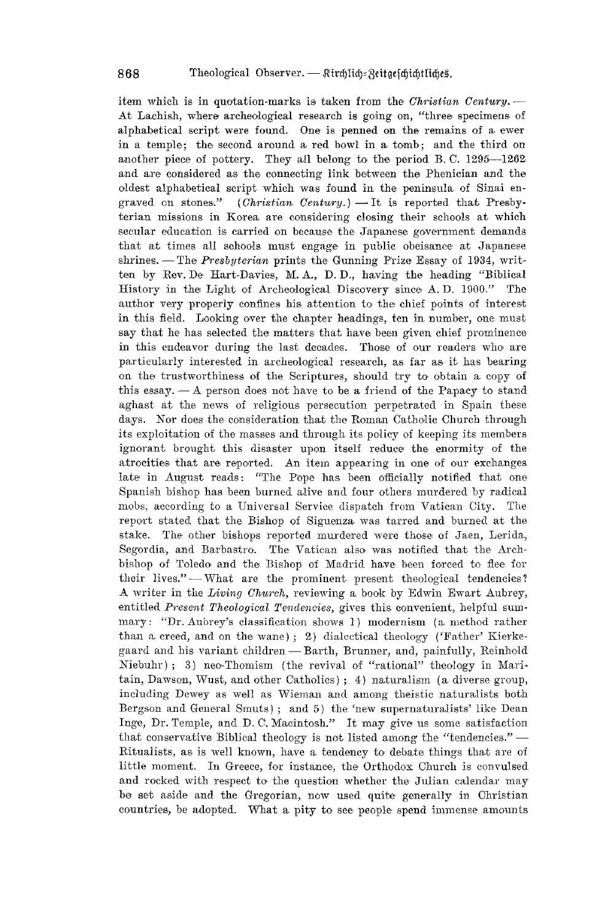item which is in quotation-marks is taken from the *Christian Century*. --At Lachish, where archeological research is going on, "three specimens of alphabetical script were found. One is penned on the remains of a ewer in a temple; the second around a, red bowl in a, tomb; and the third on another piece of pottery. They all belong to the period B. C.  $1295-1262$ and are considered as the connecting link between the Phenician and the oldest alphabetical script which was found in the peninsula of Sinai engraved on stones." (Christian Century.) — It is reported that Presby- $(Christian, Century.)$   $\longrightarrow$  It is reported that Presbyterian missions in Korea are considering closing their schools at which secular education is carried on because the Japanese government demands that at times all schools must engage in public obeisance at Japanese shrines. - The *Presbyterian* prints the Gunning Prize Essay of 1934, written by Rev. De Hart-Davies, M. A., D. D., having the heading "Biblical History in the Light of Archeological Discovery since A. D. 1900." The author very properly confines his attention to the chief points of interest in this field. Looking over the chapter headings, ten in number, one must say that he-has selected the matters that have been given chief prominence in this endeavor during the last decades. Those of our readers who are particularly interested in archeological research, as far as it has bearing on the trustworthiness of the Scriptures, should try to obtain a copy of this essay.  $-A$  person does not have to be a friend of the Papacy to stand aghast at the news of religious persecution perpetrated in Spain these days. Nor does the consideration that the Roman Catholic Church through its exploitation of the masses and through its policy of keeping its members ignorant brought this disaster upon itself reduce the enormity of the atrocities that are reported. An item appearing in one of our exchanges late in August reads: "The Pope has been officially notified that one Spanish bishop has been burned alive and four others murdered by radical mobs, according to a Universal Service dispatch from Vatican City. The report stated that the Bishop of Siguenza was tarred and burned at the stake. The other bishops reported murdered were those of Jaen, Lerida, Segordia, and Barbastro. The Vatican also was notified that the Archbishop of Toledo and the Bishop of Madrid have been forced to flee for their lives." $-$  What are the prominent present theological tendencies? A writer in the *Living Church*, reviewing a book by Edwin Ewart Aubrey, entitled *Present Theological Tendencies*, gives this convenient, helpful summary: "Dr. Aubrey's classification shows 1) modernism (a method rather than a creed, and on the wane); 2) dialectical theology ('Father' Kierkegaard and his variant children - Barth, Brunner, and, painfully, Reinhold  $Niebuhr$ ); 3) neo-Thomism (the revival of "rational" theology in Maritain, Dawson, Wust, and other Catholics); 4) naturalism (a diverse group, including Dewey as well as Wieman and among theistic naturalists both Bergson and General Smuts); and 5) the 'new supernaturalists' like Dean Inge, Dr. Temple, and D. C. Macintosh." It may give us some satisfaction that conservative Biblical theology is not listed among the "tendencies."  $-$ Ritualists, as is well known, have a tendency to debate things that are of little moment. In Greece, for instance, the Orthodox Church is convulsed and rocked with respect to the question whether the Julian calendar may be set aside and the Gregorian, now used quite generally in Christian countries, be adopted. What a pity to see people spend immense amounts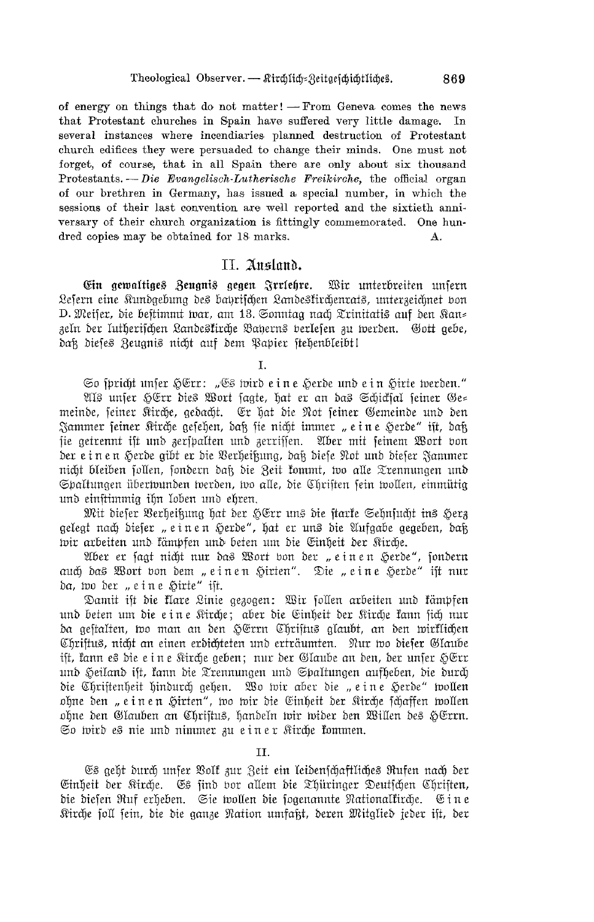of energy on things that do not matter! - From Geneva comes the news that Protestant churches in Spain have suffered very little damage. In several instances where incendiaries planned destruction of Protestant church edifices they were persuaded to change their minds. One must not forget, of course, that in all Spain there are only about six thousand Protestants. - Die Evangelisch-Lutherische Freikirche, the official organ of our brethren in Germany, has issued a special number, in which the sessions of their last convention are well reported and the sixtieth anniversary of their church organization is fittingly commemorated. One hundred copies may be obtained for 18 marks.  $\mathbf{A}$ .

#### II. Ausland.

Ein gewaltiges Zeugnis gegen Irrlehre. Wir unterbreiten unsern Lefern eine Kundgebung des bahrifchen Landeskirchenrats, unterzeichnet bon D. Meifer, die beftimmt war, am 13. Sonntag nach Trinitatis auf den Kan= zeln der lutherischen Landesfirche Baherns berlefen zu werden. Gott gebe, daß dieses Zeugnis nicht auf dem Papier stehenbleibt!

T.

So spricht unser HErr: "Es wird e in e Herde und e in Hirte werden." Als unser HErr dies Wort sagte, hat er an das Schicksal seiner Ge= meinde, feiner Kirche, gedacht. Er hat die Not feiner Gemeinde und den Jammer feiner Kirche gefehen, daß fie nicht immer "eine Herde" ift, daß sie getrennt ift und zerfpalten und zerriffen. Aber mit feinem Wort bon der e in en Herde gibt er die Verheißung, daß diese Not und dieser Jammer nicht bleiben follen, fondern daß die Zeit fommt, wo alle Trennungen und Spaltungen übertvunden tverden, tvo alle, die Chriften fein tvollen, einmütig und einstimmig ihn loben und ehren.

Mit dieser Verheißung hat der HErr uns die starke Sehnsucht ins Herz gelegt nach dieser "einen Herde", hat er uns die Aufgabe gegeben, daß wir arbeiten und kämpfen und beten um die Einheit der Kirche.

Aber er fagt nicht nur das Wort bon der "einen Herde", fondern auch das Wort von dem "einen Hirten". Die "eine Herde" ist nur da, wo der "eine Hirte" ist.

Damit ist die klare Linie gezogen: Wir sollen arbeiten und kämpfen und beten um die eine Kirche; aber die Einheit der Kirche kann sich nur da geftalten, wo man an den HErrn Chriftus glaubt, an den wirklichen Chriftus, nicht an einen erdichteten und erträumten. Nur wo dieser Glaube ift, kann es die e in e Kirche geben; nur der Glaube an den, der unfer HErr und Heiland ift, kann die Trennungen und Spaltungen aufheben, die durch die Christenheit hindurch gehen. Wo wir aber die "eine Herde" wollen ohne den "einen Hirten", wo wir die Einheit der Kirche schaffen wollen ohne den Glauben an Christus, handeln wir wider den Willen des HErrn. So wird es nie und nimmer zu einer Kirche kommen.

II.

Es geht durch unfer Volf zur Zeit ein leidenschaftliches Rufen nach der Einheit der Kirche. Es find vor allem die Thüringer Deutschen Christen, die diefen Ruf erheben. Sie wollen die fogenannte Nationalkirche. Eine Kirche soll sein, die die ganze Nation umfaßt, deren Mitglied jeder ift, der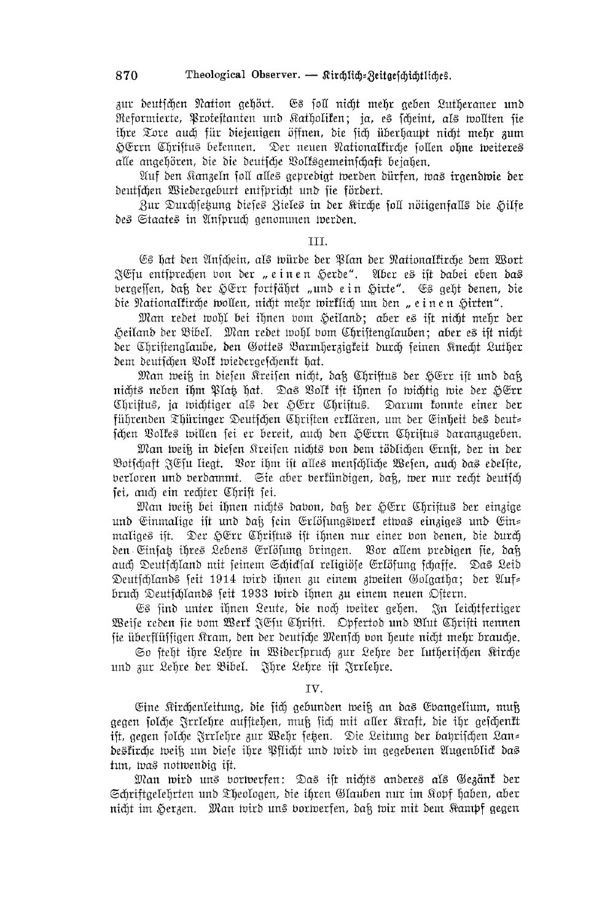zur deutschen Nation gehört. Es soll nicht mehr geben Lutheraner und Reformierte, Protestanten und Katholiken; ja, es scheint, als wollten sie ihre Tore auch für diejenigen öffnen, die sich überhaupt nicht mehr zum HErrn Chriftus bekennen. Der neuen Nationalkirche sollen ohne weiteres alle angehören, die die deutsche Volksgemeinschaft bejahen.

Auf den Kanzeln foll alles gepredigt werden dürfen, was irgendwie der deutschen Wiedergeburt entspricht und sie fördert.

Zur Durchsetzung dieses Zieles in der Kirche soll nötigenfalls die Hilfe des Staates in Anspruch genommen werden.

#### III.

Es hat den Anfchein, als würde der Plan der Nationalfirche dem Wort JEfu entsprechen von der "einen Herde". Aber es ift dabei eben das bergeffen, daß der HErr fortfährt "und e $\,$ in Hirte". Es geht denen, die die Nationaltirche wollen, nicht mehr wirklich um den "einen Hirten".

Man redet wohl bei ihnen vom Heiland; aber es ift nicht mehr der Heiland der Bibel. Man redet wohl vom Chriftenglauben; aber es ift nicht der Chriftenglaube, den Gottes Barmherzigfeit durch feinen Knecht Luther dem deutschen Volk wiedergeschenkt hat.

Man weiß in diesen Kreisen nicht, daß Christus der HErr ist und daß nichts neben ihm Plat hat. Das Volf ift ihnen jo wichtig wie der HErr Chriftus, ja wichtiger als der HErr Chriftus. Darum konnte einer der führenden Thüringer Deutschen Chriften erklären, um der Einheit des deut= fchen Volkes willen fei er bereit, auch den HErrn Chriftus daranzugeben.

Man weiß in diesen Kreisen nichts von dem tödlichen Ernst, der in der Botfchaft JEfu liegt. Bor ihm ift alles menfchliche Wefen, auch das edelite, berloren und berdammt. Sie aber berfündigen, daß, wer nur recht deutfch fei, auch ein rechter Chrift fei.

Man weik bei ihnen nichts davon, dak der HErr Chriftus der einzige und Einmalige ist und daß sein Erlösungswert etwas einziges und Ein= maliges ist. Der HErr Christus ist ihnen nur einer von denen, die durch den Einfat ihres Lebens Erlösung bringen. Vor allem predigen sie, daß auch Deutschland mit seinem Schicksal religiöse Erlösung schaffe. Das Leid Deutschlands seit 1914 wird ihnen zu einem zweiten Golgatha; der Auf= bruch Deutschlands seit 1933 wird ihnen zu einem neuen Ostern.

Es find unter ihnen Leute, die noch weiter gehen. In leichtfertiger Weise reden sie vom Werk JEsu Christi. Opfertod und Blut Christi nennen fie überflüffigen Kram, den der deutfche Menfch von heute nicht mehr brauche.

So steht ihre Lehre in Widerspruch zur Lehre der lutherischen Kirche und zur Lehre der Bibel. Ihre Lehre ist Irrlehre.

#### TV.

Eine Kirchenleitung, die sich gebunden weiß an das Evangelium, muß gegen folche Frrlehre aufftehen, muß fich mit aller Kraft, die ihr gefchen**f**t ift, gegen solche Zrrlehre zur Wehr setzen. Die Leitung der bahrischen Lan= deskirche weiß um diese ihre Pflicht und wird im gegebenen Augenblick das tun, was notwendig ift.

Man wird uns vortverfen: Das ift nichts anderes als Gezänt der Schriftgelehrten und Theologen, die ihren Glauben nur im Kopf haben, aber nicht im Herzen. Man wird uns borwerfen, daß wir mit dem Kampf gegen

870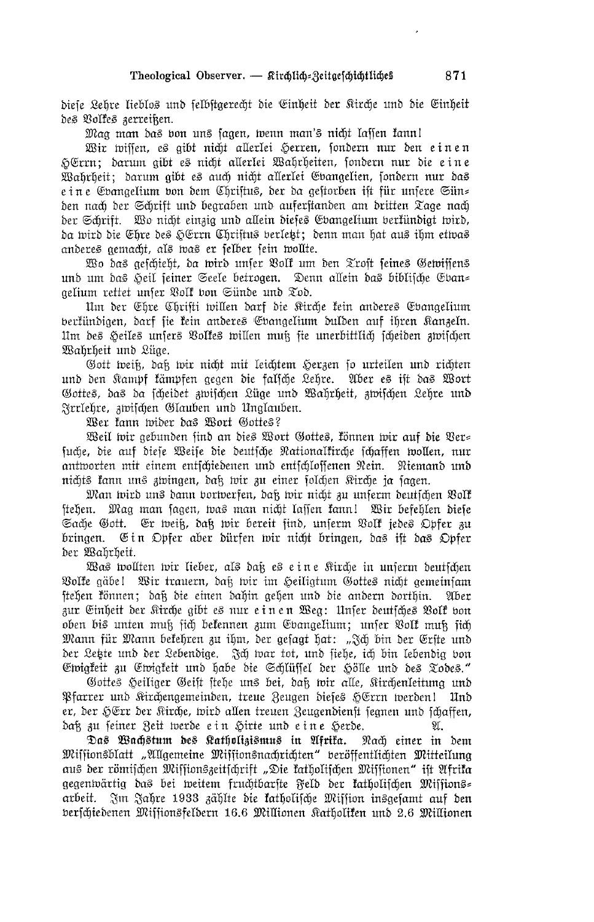diele Lehre lieblos und felbftgerecht die Sinheit der Kirche und die Einheit des Volkes zerreißen.

Mag man das von uns sagen, wenn man's nicht lassen kann!

Wir wissen, es gibt nicht allerlei Herren, sondern nur den einen HErrn; darum gibt es nicht allerlei Wahrheiten, sondern nur die eine Wahrheit; darum gibt es auch nicht allerlei Evangelien, sondern nur das e i n e Ebangelium bon dem Chriftus, der da geftorben ift für unfere Sün= den nach der Schrift und begraben und auferftanden am dritten Tage nach der Schrift. Wo nicht einzig und allein dieses Evangelium berfündigt wird, da wird die Ehre des HErrn Chriftus berletz; denn man hat aus ihm etwas anderes gemacht, als was er selber sein wollte.

Wo das geschieht, da wird unser Volk um den Trost seines Gewissens und um das Heil seiner Seele betrogen. Denn allein das biblische Eban= gelium rettet unser Volk von Sünde und Tod.

Um der Ehre Chrifti willen darf die Kirche kein anderes Evangelium berkündigen, darf fie kein anderes Ebangelium dulden auf ihren Kanzeln. Um des Heiles unsers Volkes willen muß sie unerbittlich scheiden zwischen Wahrheit und Lüge.

Gott weiß, daß wir nicht mit leichtem Herzen so urteilen und richten und den Kampf kämpfen gegen die falsche Lehre. Aber es ift das Wort Gottes, das da scheidet zwischen Lüge und Wahrheit, zwischen Lehre und Frelehre, zwischen Glauben und Unglauben.

Wer kann wider das Wort Gottes?

Weil wir gebunden find an dies Wort Gottes, können wir auf die Ver= suche, die auf diese Weise die deutsche Nationalkirche schaffen wollen, nur antworten mit einem entschiedenen und entschlossenen Nein. Niemand und nichts kann uns zwingen, daß wir zu einer solchen Rirche ja sagen.

Man wird uns dann borwerfen, daß wir nicht zu unferm deutschen Volf stehen. Mag man sagen, was man nicht lassen kann! Wir befehlen diese Sache Gott. Er weiß, daß wir bereit find, unserm Volf jedes Opfer zu bringen. Ein Opfer aber dürfen wir nicht bringen, das ist das Opfer der Wahrheit.

Was wollten wir lieber, als daß es eine Kirche in unserm deutschen Volke gäbe! Wir trauern, daß wir im Heiligtum Gottes nicht gemeinsam stehen können; daß die einen dahin gehen und die andern dorthin. Aber zur Einheit der Kirche gibt es nur einen Weg: Unser deutsches Volk von oben bis unten muß sich bekennen zum Ebangelium; unser Volk muß sich Mann für Mann bekehren zu ihm, der gefagt hat: "Ich bin der Erfte und der Letzte und der Lebendige. Ich war tot, und siehe, ich bin lebendig von Ewigkeit zu Ewigkeit und habe die Schlüssel der Hölle und des Todes."

Gottes Heiliger Geift stehe uns bei, daß wir alle, Kirchenleitung und Pfarrer und Kirchengemeinden, treue Zeugen dieses HErrn werden! Und er, der HErr der Kirche, wird allen treuen Zeugendienst segnen und schaffen, daß zu seiner Zeit werde ein Hirte und eine Herde. 9r.

Das Wachstum des Katholizismus in Afrika. Nach einer in dem Missionsblatt "Allgemeine Missionsnachrichten" beröffentlichten Mitteilung aus der römischen Missionszeitschrift "Die katholischen Missionen" ist Afrika gegentvärtig das bei tveitem fruchtbarfte Feld der fatholifchen Miffions= arbeit. Im Jahre 1933 zählte die katholische Mission insgesamt auf den berschiedenen Missionsfeldern 16.6 Millionen Ratholiken und 2.6 Millionen